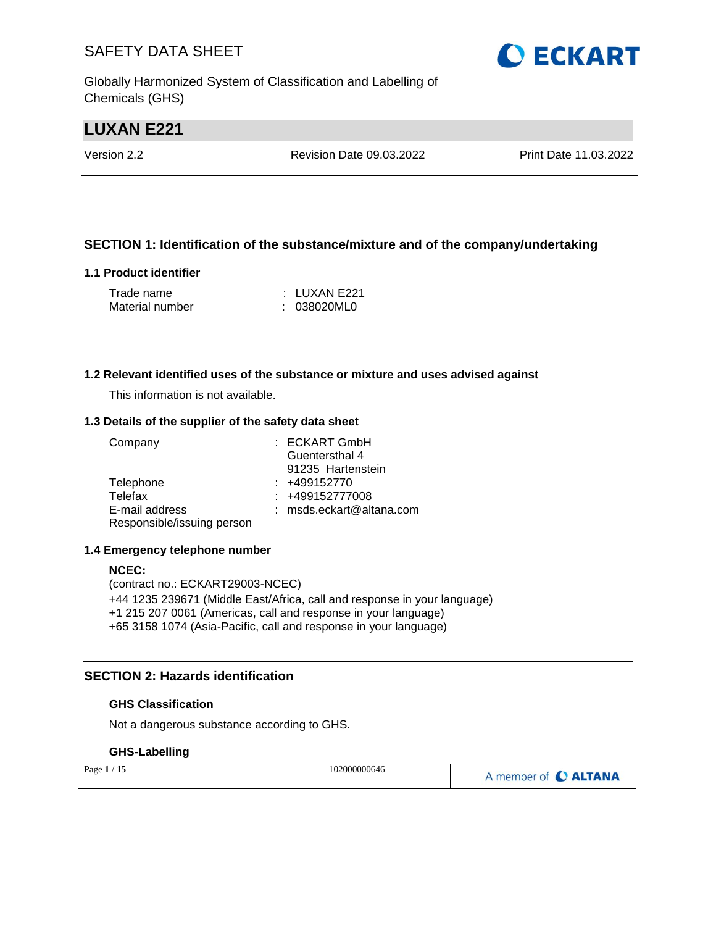Globally Harmonized System of Classification and Labelling of Chemicals (GHS)

# **LUXAN E221**

Version 2.2 Revision Date 09.03.2022 Print Date 11.03.2022

#### **SECTION 1: Identification of the substance/mixture and of the company/undertaking**

#### **1.1 Product identifier**

| Trade name      | : LUXAN E221 |
|-----------------|--------------|
| Material number | : 038020ML0  |

#### **1.2 Relevant identified uses of the substance or mixture and uses advised against**

This information is not available.

#### **1.3 Details of the supplier of the safety data sheet**

| Company                    | : ECKART GmbH              |
|----------------------------|----------------------------|
|                            | Guentersthal 4             |
|                            | 91235 Hartenstein          |
| Telephone                  | $: +499152770$             |
| Telefax                    | $: +499152777008$          |
| E-mail address             | $:$ msds.eckart@altana.com |
| Responsible/issuing person |                            |

#### **1.4 Emergency telephone number**

#### **NCEC:**

(contract no.: ECKART29003-NCEC) +44 1235 239671 (Middle East/Africa, call and response in your language) +1 215 207 0061 (Americas, call and response in your language) +65 3158 1074 (Asia-Pacific, call and response in your language)

#### **SECTION 2: Hazards identification**

#### **GHS Classification**

Not a dangerous substance according to GHS.

#### **GHS-Labelling**

| Page $1/15$ | 102000000646 | A member of C ALTANA |
|-------------|--------------|----------------------|
|-------------|--------------|----------------------|

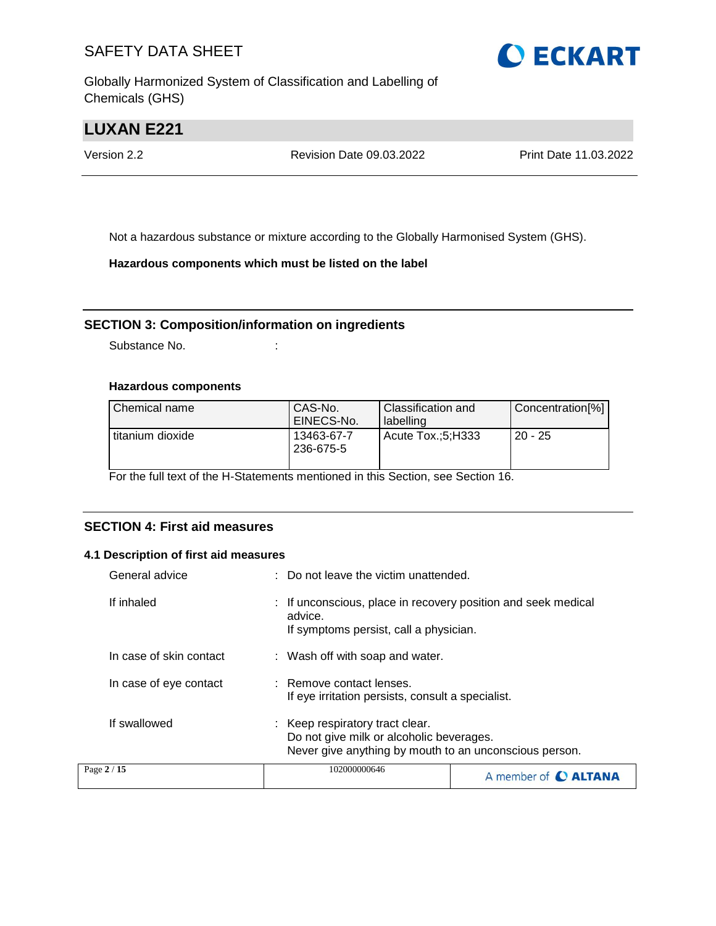Globally Harmonized System of Classification and Labelling of Chemicals (GHS)



# **LUXAN E221**

Version 2.2 Revision Date 09.03.2022 Print Date 11.03.2022

Not a hazardous substance or mixture according to the Globally Harmonised System (GHS).

**Hazardous components which must be listed on the label**

#### **SECTION 3: Composition/information on ingredients**

Substance No. **:** :

#### **Hazardous components**

| l Chemical name  | CAS-No.<br>EINECS-No.   | Classification and<br>labelling | Concentration[%] |
|------------------|-------------------------|---------------------------------|------------------|
| titanium dioxide | 13463-67-7<br>236-675-5 | Acute Tox.:5:H333               | $20 - 25$        |

For the full text of the H-Statements mentioned in this Section, see Section 16.

#### **SECTION 4: First aid measures**

#### **4.1 Description of first aid measures**

| General advice          | : Do not leave the victim unattended.                                                                                                 |  |
|-------------------------|---------------------------------------------------------------------------------------------------------------------------------------|--|
| If inhaled              | If unconscious, place in recovery position and seek medical<br>advice.<br>If symptoms persist, call a physician.                      |  |
| In case of skin contact | : Wash off with soap and water.                                                                                                       |  |
| In case of eye contact  | : Remove contact lenses.<br>If eye irritation persists, consult a specialist.                                                         |  |
| If swallowed            | : Keep respiratory tract clear.<br>Do not give milk or alcoholic beverages.<br>Never give anything by mouth to an unconscious person. |  |
| Page 2 / 15             | 102000000646<br>A member of <b>C ALTANA</b>                                                                                           |  |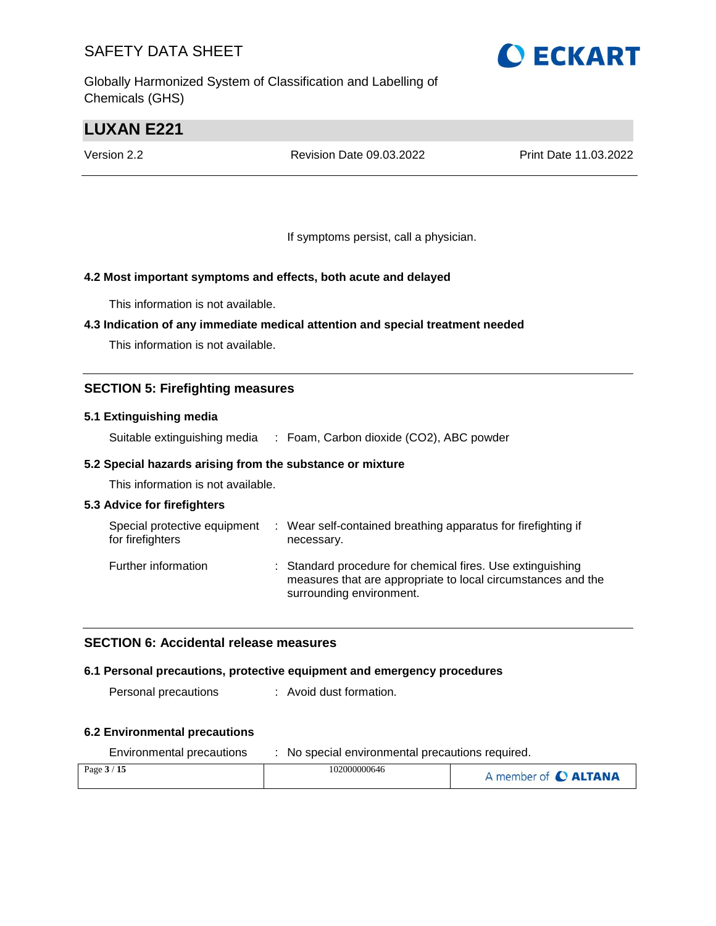Globally Harmonized System of Classification and Labelling of Chemicals (GHS)



# **LUXAN E221**

Version 2.2 Revision Date 09.03.2022 Print Date 11.03.2022

If symptoms persist, call a physician.

#### **4.2 Most important symptoms and effects, both acute and delayed**

This information is not available.

#### **4.3 Indication of any immediate medical attention and special treatment needed**

This information is not available.

#### **SECTION 5: Firefighting measures**

#### **5.1 Extinguishing media**

Suitable extinguishing media : Foam, Carbon dioxide (CO2), ABC powder

#### **5.2 Special hazards arising from the substance or mixture**

This information is not available.

#### **5.3 Advice for firefighters**

| Special protective equipment<br>for firefighters | ÷ | Wear self-contained breathing apparatus for firefighting if<br>necessary.                                                                              |
|--------------------------------------------------|---|--------------------------------------------------------------------------------------------------------------------------------------------------------|
| Further information                              |   | : Standard procedure for chemical fires. Use extinguishing<br>measures that are appropriate to local circumstances and the<br>surrounding environment. |

#### **SECTION 6: Accidental release measures**

#### **6.1 Personal precautions, protective equipment and emergency procedures**

Personal precautions : Avoid dust formation.

#### **6.2 Environmental precautions**

| Environmental precautions | No special environmental precautions required. |                      |  |
|---------------------------|------------------------------------------------|----------------------|--|
| Page $3/15$               | 102000000646                                   | A member of C ALTANA |  |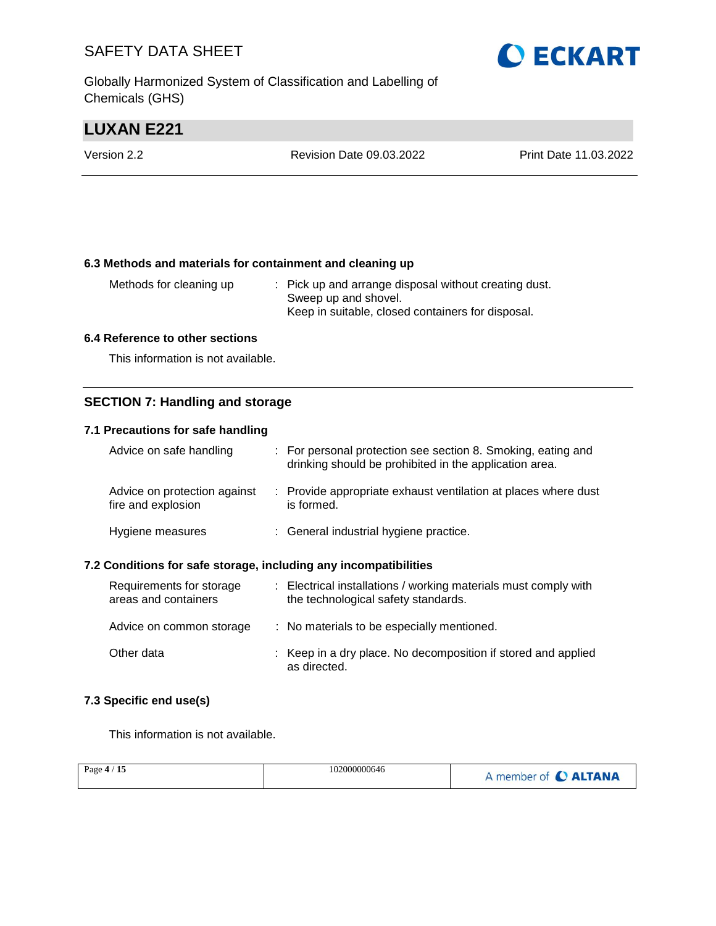Globally Harmonized System of Classification and Labelling of Chemicals (GHS)



# **LUXAN E221**

| Version 2.2 | <b>Revision Date 09.03.2022</b> | Print Date 11.03.2022 |
|-------------|---------------------------------|-----------------------|
|             |                                 |                       |

#### **6.3 Methods and materials for containment and cleaning up**

| Methods for cleaning up | : Pick up and arrange disposal without creating dust. |
|-------------------------|-------------------------------------------------------|
|                         | Sweep up and shovel.                                  |
|                         | Keep in suitable, closed containers for disposal.     |

#### **6.4 Reference to other sections**

This information is not available.

#### **SECTION 7: Handling and storage**

#### **7.1 Precautions for safe handling**

| Advice on safe handling                            | : For personal protection see section 8. Smoking, eating and<br>drinking should be prohibited in the application area. |
|----------------------------------------------------|------------------------------------------------------------------------------------------------------------------------|
| Advice on protection against<br>fire and explosion | : Provide appropriate exhaust ventilation at places where dust<br>is formed.                                           |
| Hygiene measures                                   | : General industrial hygiene practice.                                                                                 |

#### **7.2 Conditions for safe storage, including any incompatibilities**

| Requirements for storage<br>areas and containers | : Electrical installations / working materials must comply with<br>the technological safety standards. |
|--------------------------------------------------|--------------------------------------------------------------------------------------------------------|
| Advice on common storage                         | : No materials to be especially mentioned.                                                             |
| Other data                                       | : Keep in a dry place. No decomposition if stored and applied<br>as directed.                          |

#### **7.3 Specific end use(s)**

This information is not available.

| Page $4/15$ | 102000000646 | A member of C ALTANA |
|-------------|--------------|----------------------|
|             |              |                      |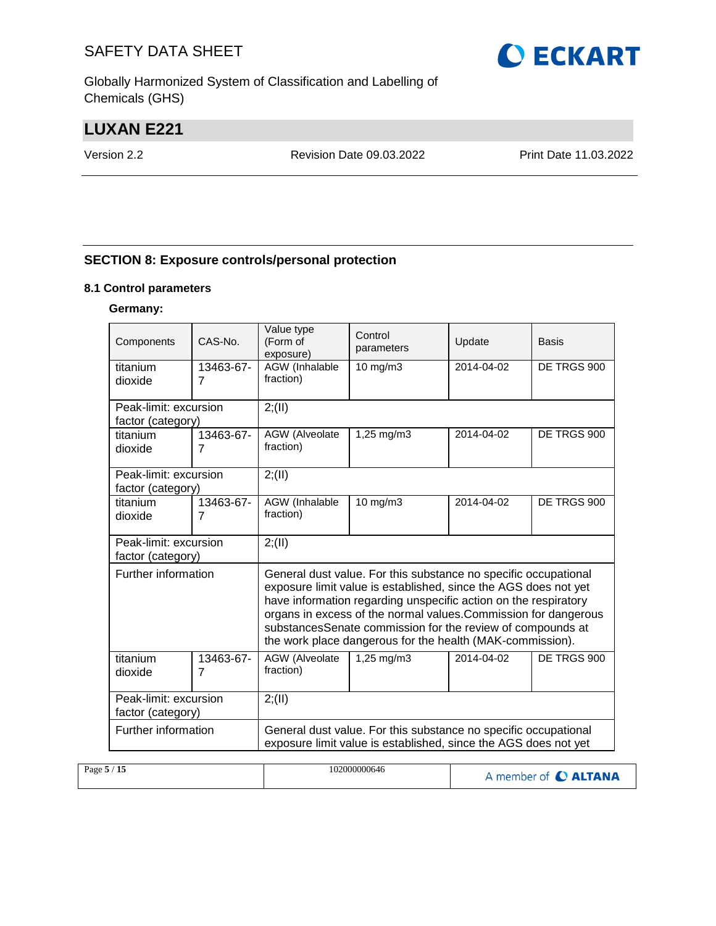Globally Harmonized System of Classification and Labelling of Chemicals (GHS)

# **LUXAN E221**

Version 2.2 Revision Date 09.03.2022 Print Date 11.03.2022

#### **SECTION 8: Exposure controls/personal protection**

#### **8.1 Control parameters**

#### **Germany:**

| Components                                 | $CAS-N0$ .                  | Value type<br>(Form of<br>exposure)                                                                                                | Control<br>parameters                                                                                                                                                                                                                                                                                                                                                                               | Update      | Basis       |  |  |  |
|--------------------------------------------|-----------------------------|------------------------------------------------------------------------------------------------------------------------------------|-----------------------------------------------------------------------------------------------------------------------------------------------------------------------------------------------------------------------------------------------------------------------------------------------------------------------------------------------------------------------------------------------------|-------------|-------------|--|--|--|
| titanium<br>dioxide                        | 13463-67-<br>$\overline{7}$ | AGW (Inhalable<br>fraction)                                                                                                        | 10 mg/m3                                                                                                                                                                                                                                                                                                                                                                                            | 2014-04-02  | DE TRGS 900 |  |  |  |
| Peak-limit: excursion<br>factor (category) |                             | 2; (II)                                                                                                                            |                                                                                                                                                                                                                                                                                                                                                                                                     |             |             |  |  |  |
| titanium<br>dioxide                        | 13463-67-<br>7              | AGW (Alveolate<br>1,25 mg/m3<br>2014-04-02<br>fraction)                                                                            |                                                                                                                                                                                                                                                                                                                                                                                                     | DE TRGS 900 |             |  |  |  |
| Peak-limit: excursion<br>factor (category) |                             | 2; (II)                                                                                                                            |                                                                                                                                                                                                                                                                                                                                                                                                     |             |             |  |  |  |
| titanium<br>dioxide                        | 13463-67-<br>$\overline{7}$ | <b>AGW</b> (Inhalable<br>DE TRGS 900<br>10 mg/m3<br>2014-04-02<br>fraction)                                                        |                                                                                                                                                                                                                                                                                                                                                                                                     |             |             |  |  |  |
| Peak-limit: excursion<br>factor (category) |                             | 2; (II)                                                                                                                            |                                                                                                                                                                                                                                                                                                                                                                                                     |             |             |  |  |  |
| Further information                        |                             |                                                                                                                                    | General dust value. For this substance no specific occupational<br>exposure limit value is established, since the AGS does not yet<br>have information regarding unspecific action on the respiratory<br>organs in excess of the normal values. Commission for dangerous<br>substancesSenate commission for the review of compounds at<br>the work place dangerous for the health (MAK-commission). |             |             |  |  |  |
| titanium<br>dioxide                        | 13463-67-<br>$\overline{7}$ | AGW (Alveolate<br>2014-04-02<br>DE TRGS 900<br>$1,25 \, \text{mg/m}$ 3<br>fraction)                                                |                                                                                                                                                                                                                                                                                                                                                                                                     |             |             |  |  |  |
| Peak-limit: excursion<br>factor (category) |                             | 2; (II)                                                                                                                            |                                                                                                                                                                                                                                                                                                                                                                                                     |             |             |  |  |  |
| Further information                        |                             | General dust value. For this substance no specific occupational<br>exposure limit value is established, since the AGS does not yet |                                                                                                                                                                                                                                                                                                                                                                                                     |             |             |  |  |  |

| 102000000646<br>Page $5/15$ | A member of C ALTANA |
|-----------------------------|----------------------|
|-----------------------------|----------------------|

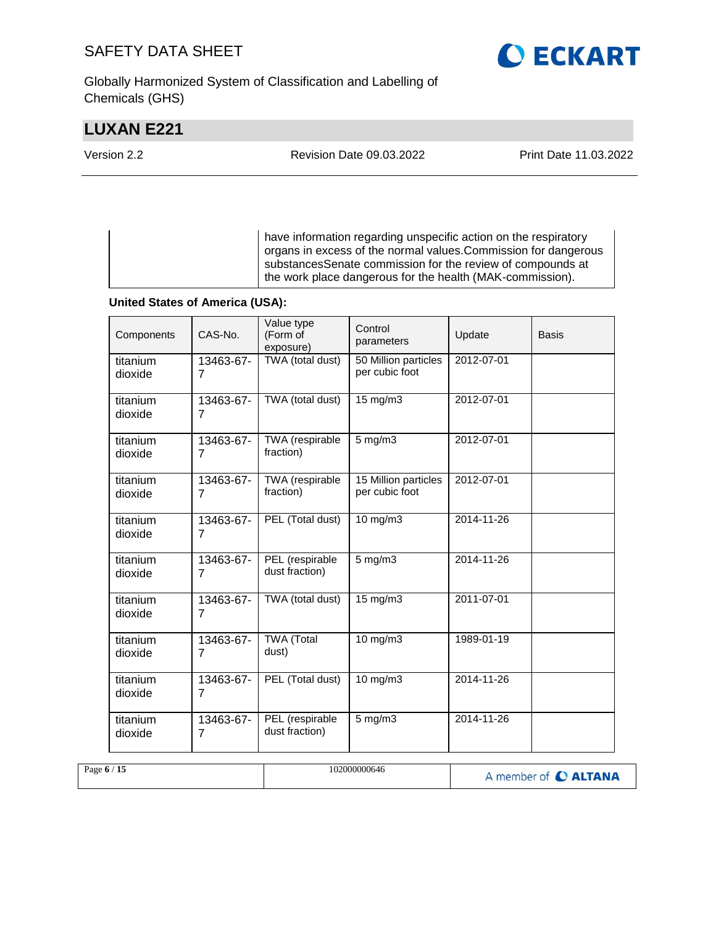Globally Harmonized System of Classification and Labelling of Chemicals (GHS)

# **LUXAN E221**

**O ECKART** 

Version 2.2 Revision Date 09.03.2022 Print Date 11.03.2022

have information regarding unspecific action on the respiratory organs in excess of the normal values.Commission for dangerous substancesSenate commission for the review of compounds at the work place dangerous for the health (MAK-commission).

#### **United States of America (USA):**

| Components          | CAS-No.                     | Value type<br>(Form of<br>exposure) | Control<br>parameters                  | Update           | <b>Basis</b> |
|---------------------|-----------------------------|-------------------------------------|----------------------------------------|------------------|--------------|
| titanium<br>dioxide | 13463-67-<br>7              | TWA (total dust)                    | 50 Million particles<br>per cubic foot | 2012-07-01       |              |
| titanium<br>dioxide | 13463-67-<br>7              | TWA (total dust)                    | 15 mg/m3                               | 2012-07-01       |              |
| titanium<br>dioxide | 13463-67-<br>$\overline{7}$ | TWA (respirable<br>fraction)        | $5$ mg/m $3$                           | 2012-07-01       |              |
| titanium<br>dioxide | 13463-67-<br>7              | TWA (respirable<br>fraction)        | 15 Million particles<br>per cubic foot | 2012-07-01       |              |
| titanium<br>dioxide | 13463-67-<br>7              | PEL (Total dust)                    | 10 mg/m3                               | 2014-11-26       |              |
| titanium<br>dioxide | 13463-67-<br>$\overline{7}$ | PEL (respirable<br>dust fraction)   | $5$ mg/m $3$                           | 2014-11-26       |              |
| titanium<br>dioxide | 13463-67-<br>$\overline{7}$ | TWA (total dust)                    | 15 mg/m3                               | 2011-07-01       |              |
| titanium<br>dioxide | 13463-67-<br>7              | <b>TWA</b> (Total<br>dust)          | $10$ mg/m $3$                          | 1989-01-19       |              |
| titanium<br>dioxide | 13463-67-<br>$\overline{7}$ | PEL (Total dust)                    | 10 mg/m3                               | $2014 - 11 - 26$ |              |
| titanium<br>dioxide | 13463-67-<br>7              | PEL (respirable<br>dust fraction)   | 5 mg/m3                                | 2014-11-26       |              |

| Page $6/15$ | 102000000646 | A member of C ALTANA |
|-------------|--------------|----------------------|
|-------------|--------------|----------------------|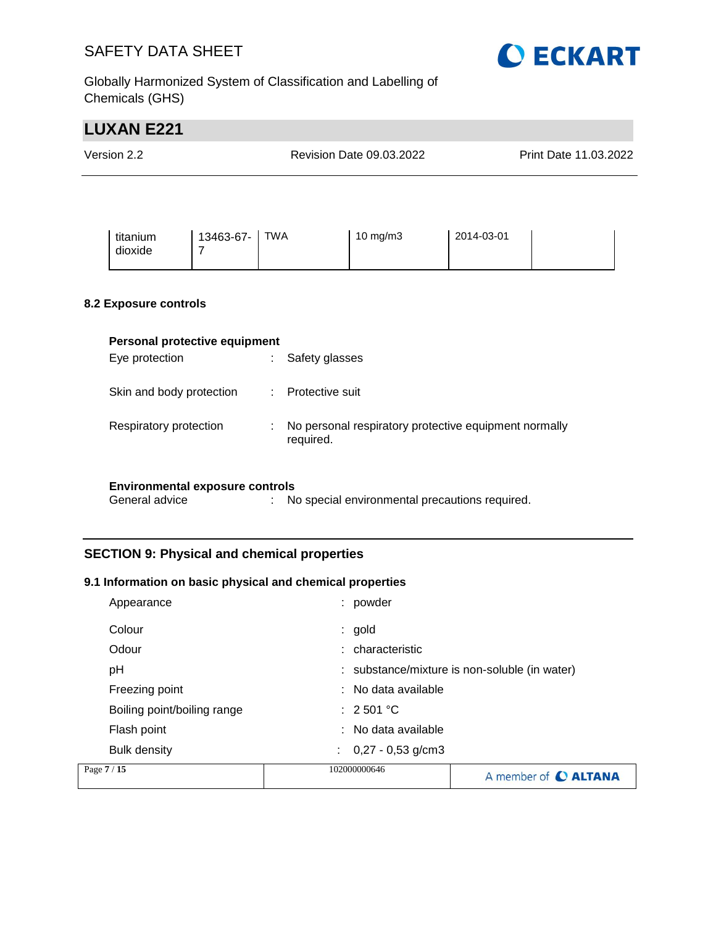

Globally Harmonized System of Classification and Labelling of Chemicals (GHS)

# **LUXAN E221** Version 2.2 Revision Date 09.03.2022 Print Date 11.03.2022 titanium dioxide 13463-67- 7 TWA 10 mg/m3 2014-03-01 **8.2 Exposure controls Personal protective equipment** Eye protection  $\qquad \qquad : \qquad$  Safety glasses Skin and body protection : Protective suit Respiratory protection : No personal respiratory protective equipment normally required. **Environmental exposure controls** General advice : No special environmental precautions required.

### **SECTION 9: Physical and chemical properties**

#### **9.1 Information on basic physical and chemical properties**

| Page 7 / 15                 | 102000000646                   | A member of C ALTANA                          |
|-----------------------------|--------------------------------|-----------------------------------------------|
| <b>Bulk density</b>         | $\therefore$ 0,27 - 0,53 g/cm3 |                                               |
| Flash point                 | : No data available            |                                               |
| Boiling point/boiling range | $\therefore$ 2 501 °C          |                                               |
| Freezing point              | $:$ No data available          |                                               |
| рH                          |                                | : substance/mixture is non-soluble (in water) |
| Odour                       | : characteristic               |                                               |
| Colour                      | $:$ gold                       |                                               |
| Appearance                  | powder                         |                                               |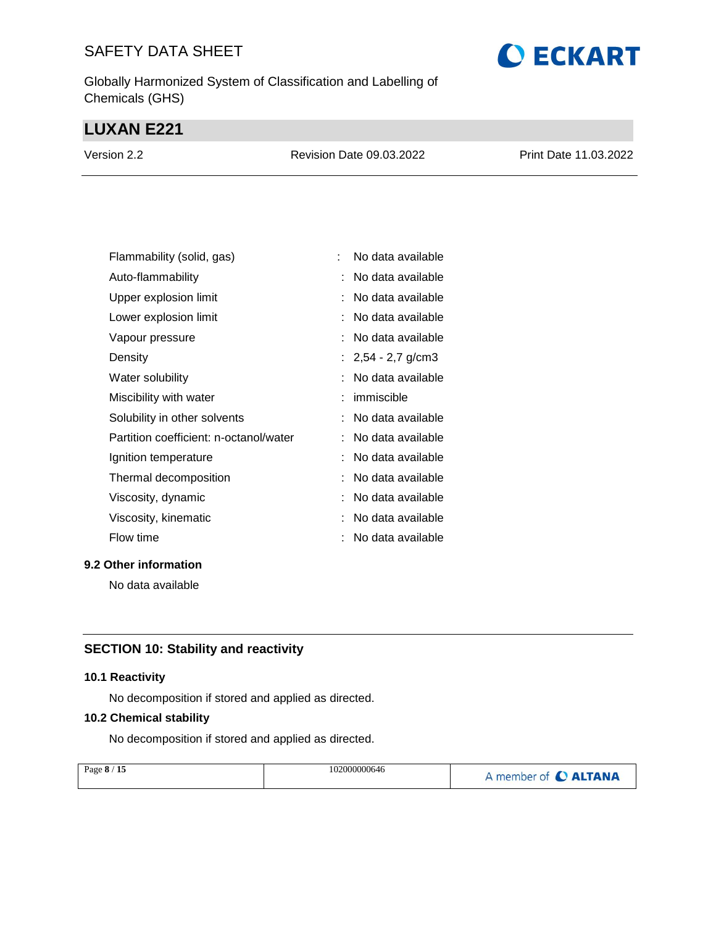Globally Harmonized System of Classification and Labelling of Chemicals (GHS)

# **LUXAN E221**

| Version 2.2 | Revision Date 09.03.2022 | Print Date 11.03.2022 |
|-------------|--------------------------|-----------------------|
|             |                          |                       |

| Flammability (solid, gas)              | No data available    |
|----------------------------------------|----------------------|
| Auto-flammability                      | No data available    |
| Upper explosion limit                  | No data available    |
| Lower explosion limit                  | No data available    |
| Vapour pressure                        | No data available    |
| Density                                | : $2,54 - 2,7$ g/cm3 |
| Water solubility                       | No data available    |
| Miscibility with water                 | immiscible           |
| Solubility in other solvents           | No data available    |
| Partition coefficient: n-octanol/water | No data available    |
| Ignition temperature                   | No data available    |
| Thermal decomposition                  | No data available    |
| Viscosity, dynamic                     | No data available    |
| Viscosity, kinematic                   | No data available    |
| Flow time                              | No data available    |

#### **9.2 Other information**

No data available

# **SECTION 10: Stability and reactivity**

#### **10.1 Reactivity**

No decomposition if stored and applied as directed.

#### **10.2 Chemical stability**

No decomposition if stored and applied as directed.

| Page 8 / 15 | 102000000646 | A member of C ALTANA |
|-------------|--------------|----------------------|
|             |              |                      |

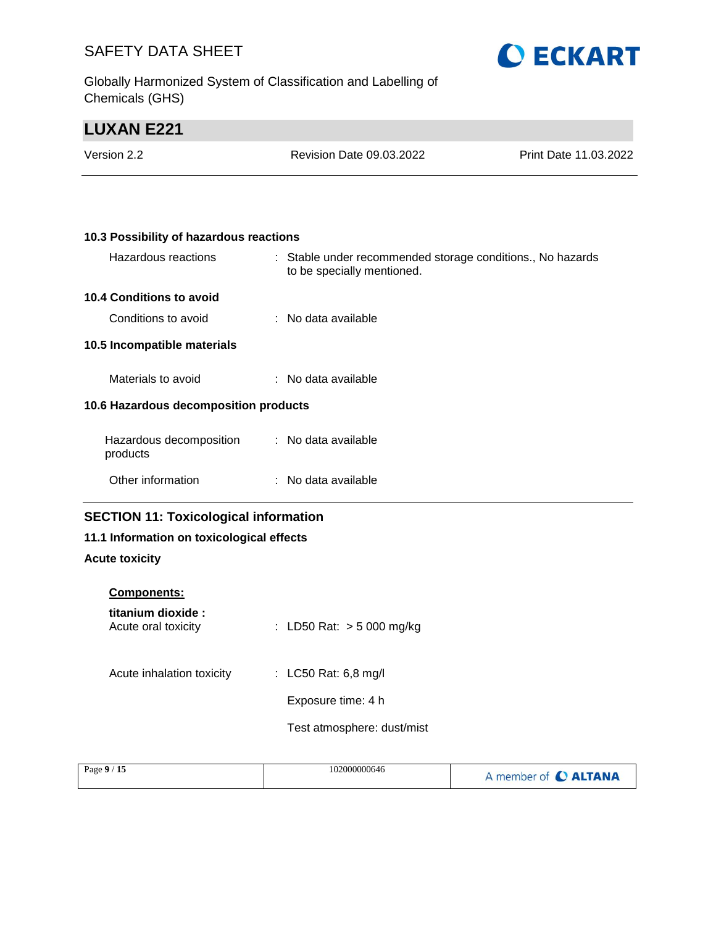Globally Harmonized System of Classification and Labelling of Chemicals (GHS)



# **LUXAN E221**

| Version 2.2 | Revision Date 09.03.2022 | <b>Print Date 11.03.2022</b> |
|-------------|--------------------------|------------------------------|
|             |                          |                              |

| 10.3 Possibility of hazardous reactions |  |                                                                                          |  |
|-----------------------------------------|--|------------------------------------------------------------------------------------------|--|
| Hazardous reactions                     |  | : Stable under recommended storage conditions., No hazards<br>to be specially mentioned. |  |
| <b>10.4 Conditions to avoid</b>         |  |                                                                                          |  |
| Conditions to avoid                     |  | : No data available                                                                      |  |
| 10.5 Incompatible materials             |  |                                                                                          |  |
| Materials to avoid                      |  | $:$ No data available                                                                    |  |
| 10.6 Hazardous decomposition products   |  |                                                                                          |  |
| Hazardous decomposition<br>products     |  | : No data available                                                                      |  |
| Other information                       |  | : No data available                                                                      |  |

## **SECTION 11: Toxicological information**

### **11.1 Information on toxicological effects**

#### **Acute toxicity**

| <b>Components:</b>                        |                             |
|-------------------------------------------|-----------------------------|
| titanium dioxide :<br>Acute oral toxicity | : LD50 Rat: $>$ 5 000 mg/kg |
| Acute inhalation toxicity                 | : LC50 Rat: 6,8 mg/l        |
|                                           | Exposure time: 4 h          |
|                                           | Test atmosphere: dust/mist  |
|                                           |                             |

| Page 9 / 15 | 102000000646 | A member of C ALTANA |
|-------------|--------------|----------------------|
|             |              |                      |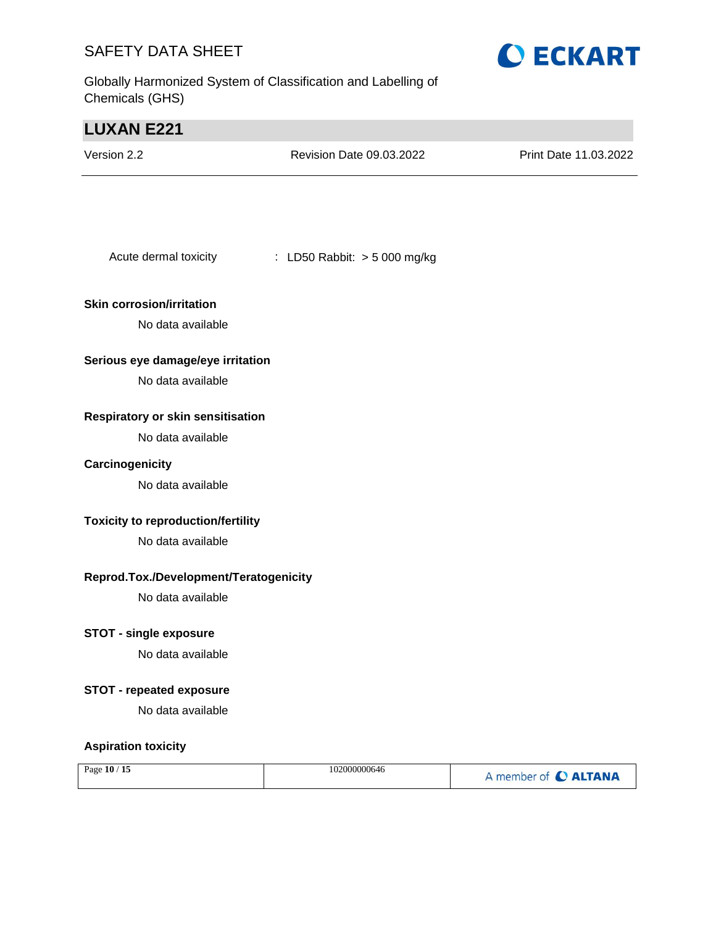Globally Harmonized System of Classification and Labelling of Chemicals (GHS)



# **LUXAN E221** Version 2.2 Revision Date 09.03.2022 Print Date 11.03.2022 Acute dermal toxicity : LD50 Rabbit: > 5 000 mg/kg **Skin corrosion/irritation** No data available **Serious eye damage/eye irritation** No data available **Respiratory or skin sensitisation** No data available **Carcinogenicity** No data available **Toxicity to reproduction/fertility** No data available **Reprod.Tox./Development/Teratogenicity** No data available **STOT - single exposure** No data available **STOT - repeated exposure** No data available **Aspiration toxicity**

|  | Page 10 / 15 | 102000000646 | A member of C ALTANA |
|--|--------------|--------------|----------------------|
|--|--------------|--------------|----------------------|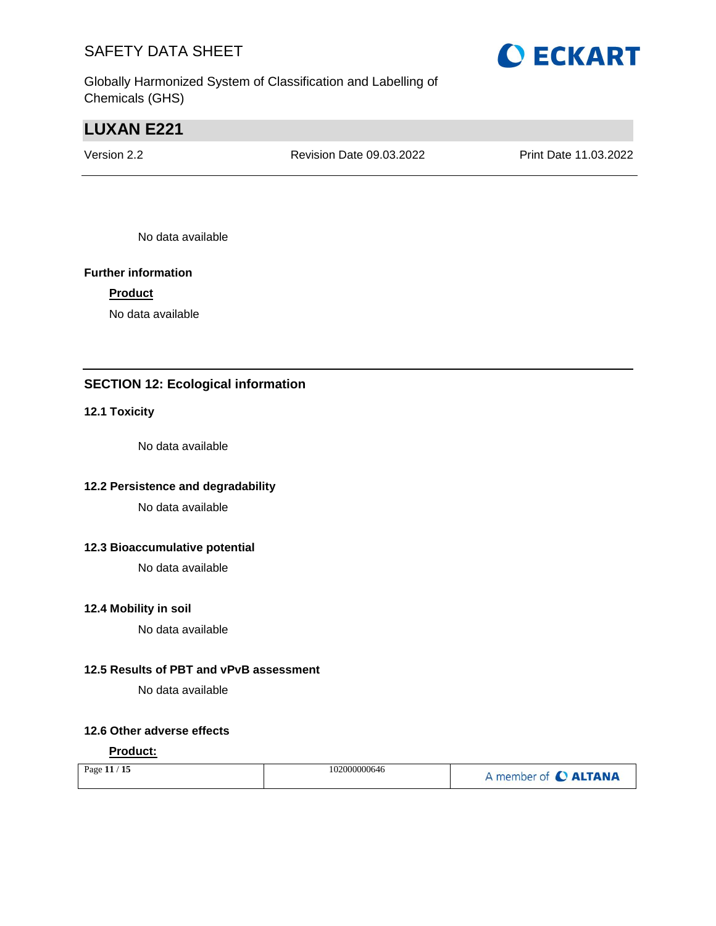Globally Harmonized System of Classification and Labelling of Chemicals (GHS)

# **LUXAN E221**

Version 2.2 Revision Date 09.03.2022 Print Date 11.03.2022

No data available

#### **Further information**

#### **Product**

No data available

### **SECTION 12: Ecological information**

#### **12.1 Toxicity**

No data available

#### **12.2 Persistence and degradability**

No data available

#### **12.3 Bioaccumulative potential**

No data available

#### **12.4 Mobility in soil**

No data available

#### **12.5 Results of PBT and vPvB assessment**

No data available

#### **12.6 Other adverse effects**

#### **Product:**

|  | Page 11 / 15 | 102000000646 | A member of C ALTANA |
|--|--------------|--------------|----------------------|
|--|--------------|--------------|----------------------|

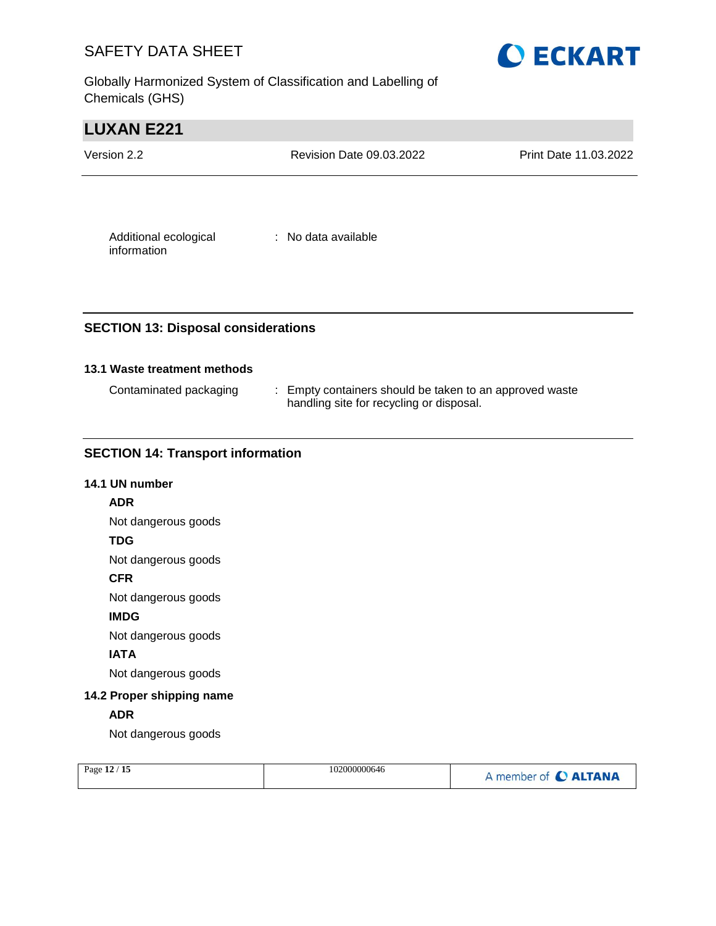Globally Harmonized System of Classification and Labelling of Chemicals (GHS)



| <b>LUXAN E221</b>                    |                                 |                              |
|--------------------------------------|---------------------------------|------------------------------|
| Version 2.2                          | <b>Revision Date 09.03.2022</b> | <b>Print Date 11.03.2022</b> |
|                                      |                                 |                              |
| Additional ecological<br>information | : No data available             |                              |

#### **SECTION 13: Disposal considerations**

#### **13.1 Waste treatment methods**

| Contaminated packaging | : Empty containers should be taken to an approved waste |
|------------------------|---------------------------------------------------------|
|                        | handling site for recycling or disposal.                |

#### **SECTION 14: Transport information**

# **14.1 UN number ADR** Not dangerous goods **TDG** Not dangerous goods **CFR** Not dangerous goods **IMDG** Not dangerous goods **IATA** Not dangerous goods **14.2 Proper shipping name ADR** Not dangerous goods

| Page 12 / 15<br>102000000646 | A member of C ALTANA |
|------------------------------|----------------------|
|------------------------------|----------------------|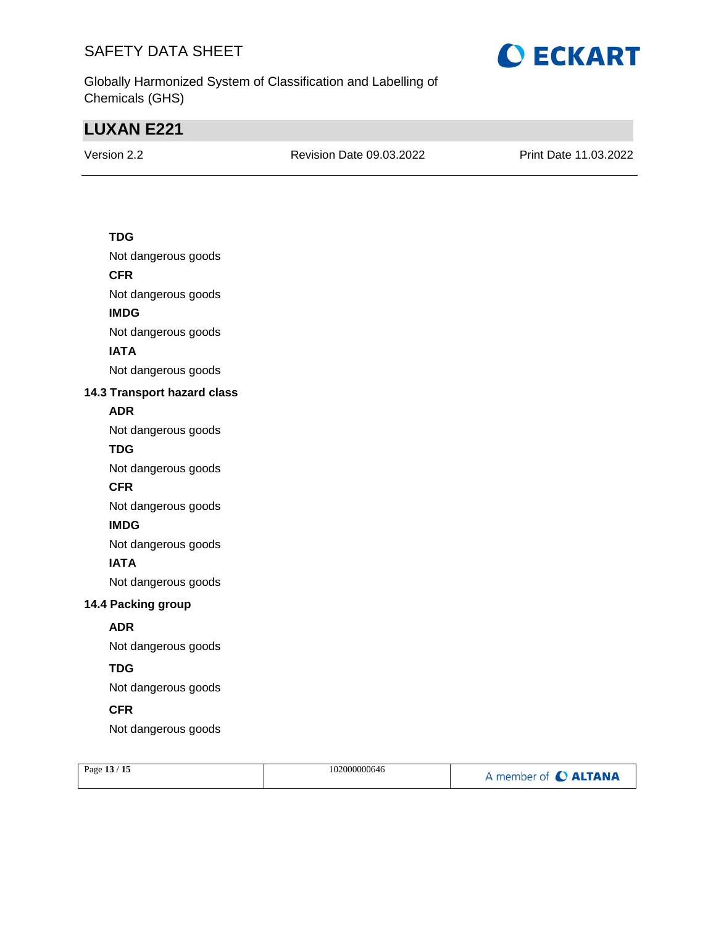

Globally Harmonized System of Classification and Labelling of Chemicals (GHS)

# **LUXAN E221**

Version 2.2 Revision Date 09.03.2022 Print Date 11.03.2022

#### **TDG**

Not dangerous goods

#### **CFR**

Not dangerous goods

#### **IMDG**

Not dangerous goods

#### **IATA**

Not dangerous goods

#### **14.3 Transport hazard class**

#### **ADR**

Not dangerous goods

#### **TDG**

Not dangerous goods

#### **CFR**

Not dangerous goods

#### **IMDG**

Not dangerous goods

#### **IATA**

Not dangerous goods

#### **14.4 Packing group**

#### **ADR**

Not dangerous goods

#### **TDG**

Not dangerous goods

#### **CFR**

Not dangerous goods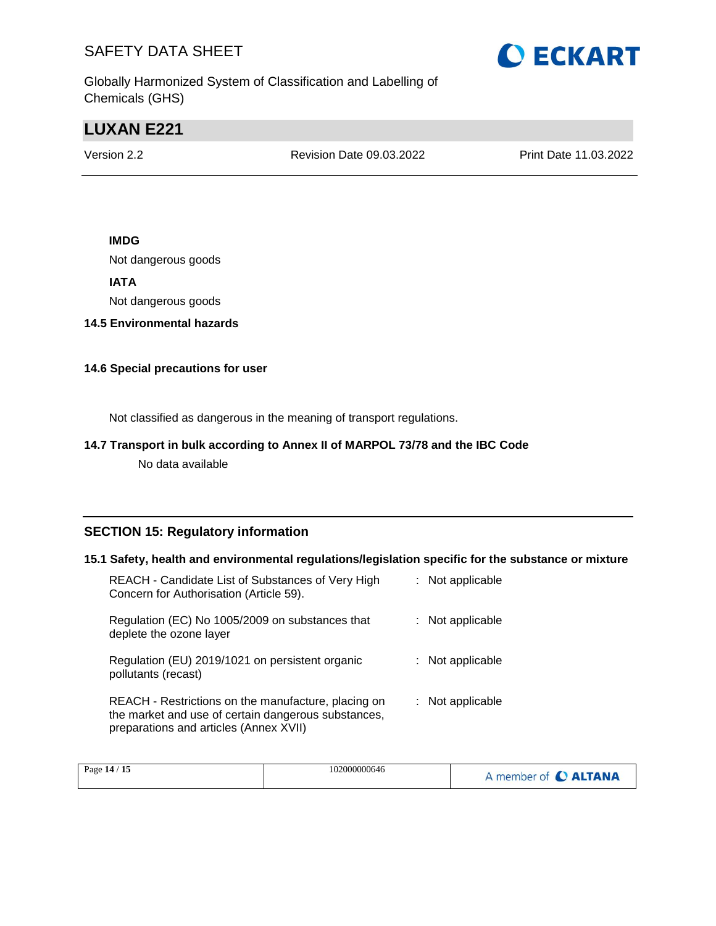

Globally Harmonized System of Classification and Labelling of Chemicals (GHS)

# **LUXAN E221**

Version 2.2 Revision Date 09.03.2022 Print Date 11.03.2022

#### **IMDG**

Not dangerous goods

**IATA**

Not dangerous goods

**14.5 Environmental hazards**

#### **14.6 Special precautions for user**

Not classified as dangerous in the meaning of transport regulations.

#### **14.7 Transport in bulk according to Annex II of MARPOL 73/78 and the IBC Code**

No data available

#### **SECTION 15: Regulatory information**

#### **15.1 Safety, health and environmental regulations/legislation specific for the substance or mixture**

| REACH - Candidate List of Substances of Very High<br>Concern for Authorisation (Article 59).                                                         | : Not applicable |
|------------------------------------------------------------------------------------------------------------------------------------------------------|------------------|
| Regulation (EC) No 1005/2009 on substances that<br>deplete the ozone layer                                                                           | : Not applicable |
| Regulation (EU) 2019/1021 on persistent organic<br>pollutants (recast)                                                                               | : Not applicable |
| REACH - Restrictions on the manufacture, placing on<br>the market and use of certain dangerous substances,<br>preparations and articles (Annex XVII) | : Not applicable |

| 15<br>Page 14 / | 102000000646 | <b>C</b> ALTANA<br>member of <b>C</b> |
|-----------------|--------------|---------------------------------------|
|-----------------|--------------|---------------------------------------|